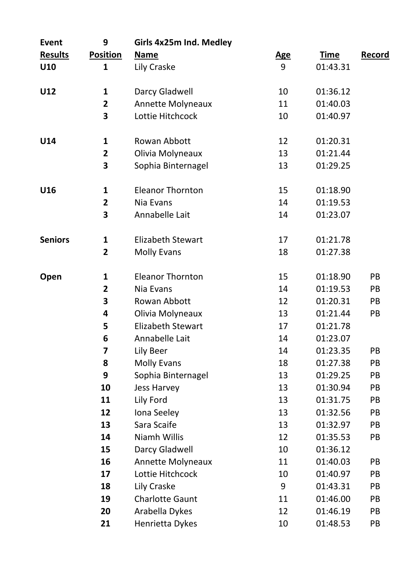| Event          | 9                       | Girls 4x25m Ind. Medley |            |             |        |
|----------------|-------------------------|-------------------------|------------|-------------|--------|
| <b>Results</b> | <b>Position</b>         | Name                    | <u>Age</u> | <b>Time</b> | Record |
| U10            | 1                       | Lily Craske             | 9          | 01:43.31    |        |
| U12            | 1                       | Darcy Gladwell          | 10         | 01:36.12    |        |
|                | $\overline{\mathbf{c}}$ | Annette Molyneaux       | 11         | 01:40.03    |        |
|                | 3                       | Lottie Hitchcock        | 10         | 01:40.97    |        |
| U14            | 1                       | Rowan Abbott            | 12         | 01:20.31    |        |
|                | 2                       | Olivia Molyneaux        | 13         | 01:21.44    |        |
|                | 3                       | Sophia Binternagel      | 13         | 01:29.25    |        |
| U16            | 1                       | <b>Eleanor Thornton</b> | 15         | 01:18.90    |        |
|                | $\overline{\mathbf{2}}$ | Nia Evans               | 14         | 01:19.53    |        |
|                | 3                       | Annabelle Lait          | 14         | 01:23.07    |        |
| <b>Seniors</b> | 1                       | Elizabeth Stewart       | 17         | 01:21.78    |        |
|                | 2                       | <b>Molly Evans</b>      | 18         | 01:27.38    |        |
| Open           | 1                       | <b>Eleanor Thornton</b> | 15         | 01:18.90    | PB     |
|                | $\overline{\mathbf{2}}$ | Nia Evans               | 14         | 01:19.53    | PB     |
|                | 3                       | Rowan Abbott            | 12         | 01:20.31    | PB     |
|                | 4                       | Olivia Molyneaux        | 13         | 01:21.44    | PB     |
|                | 5                       | Elizabeth Stewart       | 17         | 01:21.78    |        |
|                | 6                       | Annabelle Lait          | 14         | 01:23.07    |        |
|                | 7                       | Lily Beer               | 14         | 01:23.35    | PB     |
|                | 8                       | <b>Molly Evans</b>      | 18         | 01:27.38    | PB     |
|                | 9                       | Sophia Binternagel      | 13         | 01:29.25    | PB     |
|                | 10                      | <b>Jess Harvey</b>      | 13         | 01:30.94    | PB     |
|                | 11                      | Lily Ford               | 13         | 01:31.75    | PB     |
|                | 12                      | Iona Seeley             | 13         | 01:32.56    | PB     |
|                | 13                      | Sara Scaife             | 13         | 01:32.97    | PB     |
|                | 14                      | Niamh Willis            | 12         | 01:35.53    | PB     |
|                | 15                      | Darcy Gladwell          | 10         | 01:36.12    |        |
|                | 16                      | Annette Molyneaux       | 11         | 01:40.03    | PB     |
|                | 17                      | Lottie Hitchcock        | 10         | 01:40.97    | PB     |
|                | 18                      | Lily Craske             | 9          | 01:43.31    | PB     |
|                | 19                      | <b>Charlotte Gaunt</b>  | 11         | 01:46.00    | PB     |
|                | 20                      | Arabella Dykes          | 12         | 01:46.19    | PB     |
|                | 21                      | Henrietta Dykes         | 10         | 01:48.53    | PB     |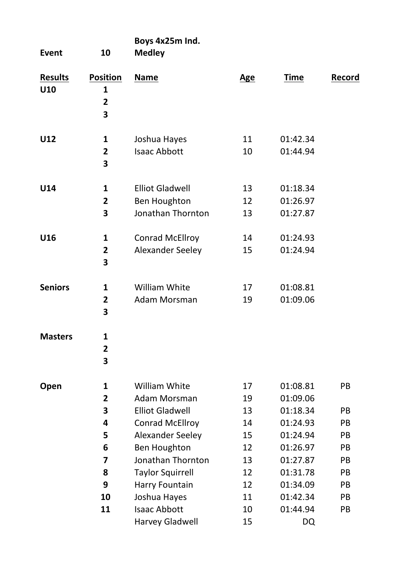| Event                 | 10                                                   | Boys 4x25m Ind.<br>Medley                                                                                                |                                  |                                                                      |                                   |
|-----------------------|------------------------------------------------------|--------------------------------------------------------------------------------------------------------------------------|----------------------------------|----------------------------------------------------------------------|-----------------------------------|
| <b>Results</b><br>U10 | <b>Position</b><br>1<br>$\overline{\mathbf{c}}$<br>3 | Name                                                                                                                     | Age                              | <b>Time</b>                                                          | Record                            |
| U12                   | 1<br>2<br>3                                          | Joshua Hayes<br><b>Isaac Abbott</b>                                                                                      | 11<br>10                         | 01:42.34<br>01:44.94                                                 |                                   |
| U14                   | 1<br>$\overline{2}$<br>3                             | <b>Elliot Gladwell</b><br>Ben Houghton<br>Jonathan Thornton                                                              | 13<br>12<br>13                   | 01:18.34<br>01:26.97<br>01:27.87                                     |                                   |
| U16                   | 1<br>2<br>3                                          | <b>Conrad McEllroy</b><br>Alexander Seeley                                                                               | 14<br>15                         | 01:24.93<br>01:24.94                                                 |                                   |
| <b>Seniors</b>        | 1<br>$\overline{2}$<br>3                             | William White<br>Adam Morsman                                                                                            | 17<br>19                         | 01:08.81<br>01:09.06                                                 |                                   |
| <b>Masters</b>        | 1<br>$\overline{2}$<br>3                             |                                                                                                                          |                                  |                                                                      |                                   |
| Open                  | 1<br>$\overline{2}$<br>3<br>4<br>5<br>6              | William White<br>Adam Morsman<br><b>Elliot Gladwell</b><br>Conrad McEllroy<br>Alexander Seeley<br>Ben Houghton           | 17<br>19<br>13<br>14<br>15<br>12 | 01:08.81<br>01:09.06<br>01:18.34<br>01:24.93<br>01:24.94<br>01:26.97 | PB<br>PB<br>PB<br><b>PB</b><br>PB |
|                       | 7<br>8<br>9<br>10<br>11                              | Jonathan Thornton<br><b>Taylor Squirrell</b><br>Harry Fountain<br>Joshua Hayes<br><b>Isaac Abbott</b><br>Harvey Gladwell | 13<br>12<br>12<br>11<br>10<br>15 | 01:27.87<br>01:31.78<br>01:34.09<br>01:42.34<br>01:44.94<br>DQ       | PB<br>PB<br>PB<br>PB<br>PB        |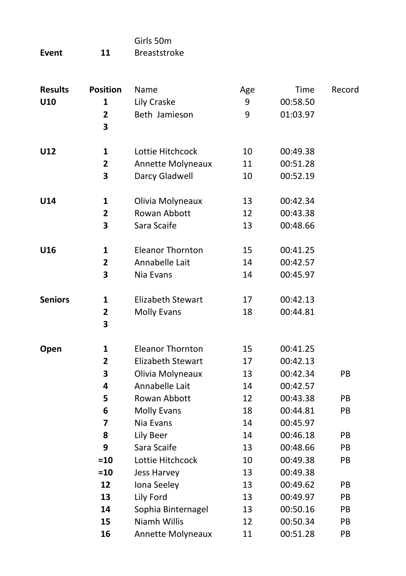|       |    | Girls 50m           |
|-------|----|---------------------|
| Event | 11 | <b>Breaststroke</b> |

| <b>Results</b> | <b>Position</b>              | Name                     | Age | Time     | Record |
|----------------|------------------------------|--------------------------|-----|----------|--------|
| U10            | 1                            | Lily Craske              | 9   | 00:58.50 |        |
|                | $\overline{\mathbf{c}}$<br>3 | Beth Jamieson            | 9   | 01:03.97 |        |
|                |                              |                          |     |          |        |
| U12            | 1                            | Lottie Hitchcock         | 10  | 00:49.38 |        |
|                | $\overline{\mathbf{2}}$      | Annette Molyneaux        | 11  | 00:51.28 |        |
|                | 3                            | Darcy Gladwell           | 10  | 00:52.19 |        |
| U14            | 1                            | Olivia Molyneaux         | 13  | 00:42.34 |        |
|                | 2                            | Rowan Abbott             | 12  | 00:43.38 |        |
|                | 3                            | Sara Scaife              | 13  | 00:48.66 |        |
| U16            | 1                            | <b>Eleanor Thornton</b>  | 15  | 00:41.25 |        |
|                | $\mathbf{2}$                 | Annabelle Lait           | 14  | 00:42.57 |        |
|                | 3                            | Nia Evans                | 14  | 00:45.97 |        |
| <b>Seniors</b> | 1                            | <b>Elizabeth Stewart</b> | 17  | 00:42.13 |        |
|                | 2                            | <b>Molly Evans</b>       | 18  | 00:44.81 |        |
|                | 3                            |                          |     |          |        |
| Open           | 1                            | <b>Eleanor Thornton</b>  | 15  | 00:41.25 |        |
|                | $\overline{\mathbf{c}}$      | <b>Elizabeth Stewart</b> | 17  | 00:42.13 |        |
|                | 3                            | Olivia Molyneaux         | 13  | 00:42.34 | PB     |
|                | 4                            | Annabelle Lait           | 14  | 00:42.57 |        |
|                | 5                            | Rowan Abbott             | 12  | 00:43.38 | PB     |
|                | 6                            | <b>Molly Evans</b>       | 18  | 00:44.81 | PB     |
|                | 7                            | Nia Evans                | 14  | 00:45.97 |        |
|                | 8                            | Lily Beer                | 14  | 00:46.18 | PB.    |
|                | 9                            | Sara Scaife              | 13  | 00:48.66 | PB     |
|                | $=10$                        | Lottie Hitchcock         | 10  | 00:49.38 | PB     |
|                | $=10$                        | Jess Harvey              | 13  | 00:49.38 |        |
|                | 12                           | Iona Seeley              | 13  | 00:49.62 | PB     |
|                | 13                           | Lily Ford                | 13  | 00:49.97 | PB     |
|                | 14                           | Sophia Binternagel       | 13  | 00:50.16 | PB     |
|                | 15                           | Niamh Willis             | 12  | 00:50.34 | PB     |
|                | 16                           | Annette Molyneaux        | 11  | 00:51.28 | PB     |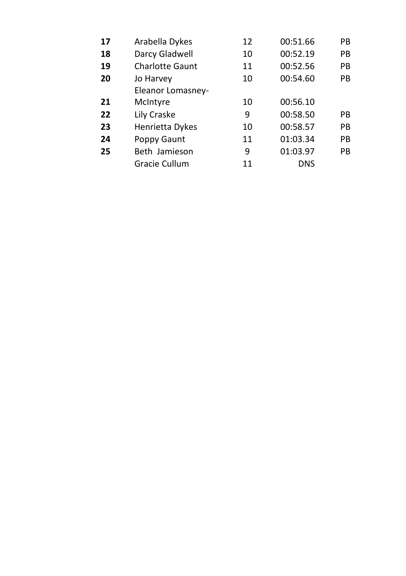| Arabella Dykes         | 12 | 00:51.66   | PB |
|------------------------|----|------------|----|
| Darcy Gladwell         | 10 | 00:52.19   | PB |
| <b>Charlotte Gaunt</b> | 11 | 00:52.56   | PB |
| Jo Harvey              | 10 | 00:54.60   | PB |
| Eleanor Lomasney-      |    |            |    |
| McIntyre               | 10 | 00:56.10   |    |
| Lily Craske            | 9  | 00:58.50   | PB |
| Henrietta Dykes        | 10 | 00:58.57   | PB |
| Poppy Gaunt            | 11 | 01:03.34   | PB |
| Beth Jamieson          | 9  | 01:03.97   | PB |
| Gracie Cullum          | 11 | <b>DNS</b> |    |
|                        |    |            |    |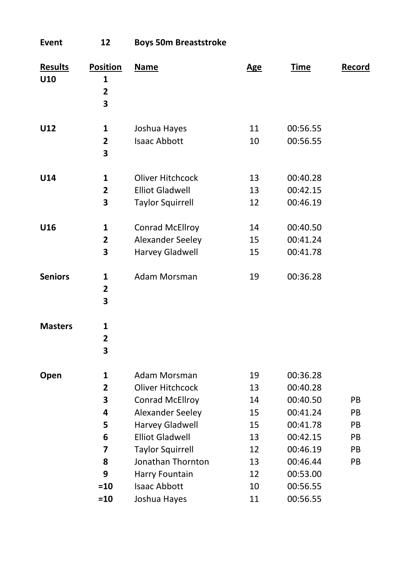| Event                 | 12                                                              | <b>Boys 50m Breaststroke</b>                                                                                                                                                                  |                                                    |                                                                                                          |                                  |
|-----------------------|-----------------------------------------------------------------|-----------------------------------------------------------------------------------------------------------------------------------------------------------------------------------------------|----------------------------------------------------|----------------------------------------------------------------------------------------------------------|----------------------------------|
| <b>Results</b><br>U10 | <b>Position</b><br>1<br>$\overline{\mathbf{c}}$<br>3            | <b>Name</b>                                                                                                                                                                                   | <b>Age</b>                                         | <b>Time</b>                                                                                              | Record                           |
| U12                   | 1<br>$\overline{\mathbf{2}}$<br>3                               | Joshua Hayes<br><b>Isaac Abbott</b>                                                                                                                                                           | 11<br>10                                           | 00:56.55<br>00:56.55                                                                                     |                                  |
| U14                   | 1<br>$\overline{2}$<br>3                                        | Oliver Hitchcock<br><b>Elliot Gladwell</b><br><b>Taylor Squirrell</b>                                                                                                                         | 13<br>13<br>12                                     | 00:40.28<br>00:42.15<br>00:46.19                                                                         |                                  |
| U16                   | 1<br>$\overline{2}$<br>3                                        | <b>Conrad McEllroy</b><br>Alexander Seeley<br>Harvey Gladwell                                                                                                                                 | 14<br>15<br>15                                     | 00:40.50<br>00:41.24<br>00:41.78                                                                         |                                  |
| <b>Seniors</b>        | 1<br>$\overline{2}$<br>3                                        | Adam Morsman                                                                                                                                                                                  | 19                                                 | 00:36.28                                                                                                 |                                  |
| <b>Masters</b>        | 1<br>$\overline{\mathbf{2}}$<br>3                               |                                                                                                                                                                                               |                                                    |                                                                                                          |                                  |
| Open                  | 1<br>$\overline{\mathbf{c}}$<br>3<br>4<br>5<br>6<br>7<br>8<br>9 | Adam Morsman<br>Oliver Hitchcock<br><b>Conrad McEllroy</b><br>Alexander Seeley<br>Harvey Gladwell<br><b>Elliot Gladwell</b><br><b>Taylor Squirrell</b><br>Jonathan Thornton<br>Harry Fountain | 19<br>13<br>14<br>15<br>15<br>13<br>12<br>13<br>12 | 00:36.28<br>00:40.28<br>00:40.50<br>00:41.24<br>00:41.78<br>00:42.15<br>00:46.19<br>00:46.44<br>00:53.00 | PB<br>PB<br>PB<br>PB<br>PB<br>PB |
|                       | $= 10$<br>=10                                                   | <b>Isaac Abbott</b><br>Joshua Hayes                                                                                                                                                           | 10<br>11                                           | 00:56.55<br>00:56.55                                                                                     |                                  |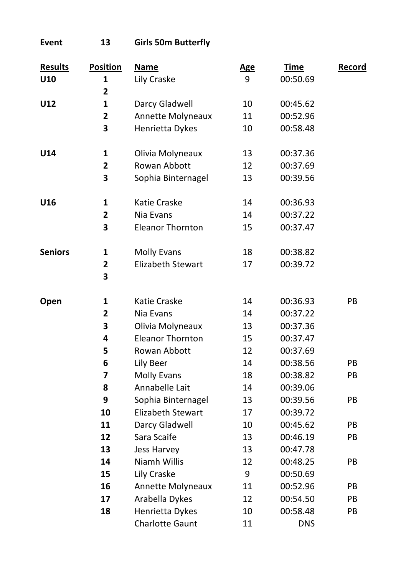**Event 13 Girls 50m Butterfly**

| <b>Results</b> | <b>Position</b>         | <b>Name</b>              | <b>Age</b> | <b>Time</b> | Record |
|----------------|-------------------------|--------------------------|------------|-------------|--------|
| U10            | 1                       | Lily Craske              | 9          | 00:50.69    |        |
|                | $\overline{\mathbf{c}}$ |                          |            |             |        |
| U12            | $\mathbf{1}$            | Darcy Gladwell           | 10         | 00:45.62    |        |
|                | $\overline{\mathbf{2}}$ | Annette Molyneaux        | 11         | 00:52.96    |        |
|                | 3                       | Henrietta Dykes          | 10         | 00:58.48    |        |
| U14            | $\mathbf{1}$            | Olivia Molyneaux         | 13         | 00:37.36    |        |
|                | $\mathbf 2$             | Rowan Abbott             | 12         | 00:37.69    |        |
|                | 3                       | Sophia Binternagel       | 13         | 00:39.56    |        |
| U16            | 1                       | Katie Craske             | 14         | 00:36.93    |        |
|                | $\overline{\mathbf{2}}$ | Nia Evans                | 14         | 00:37.22    |        |
|                | 3                       | <b>Eleanor Thornton</b>  | 15         | 00:37.47    |        |
| <b>Seniors</b> | 1                       | <b>Molly Evans</b>       | 18         | 00:38.82    |        |
|                | $\overline{2}$<br>3     | <b>Elizabeth Stewart</b> | 17         | 00:39.72    |        |
| Open           | 1                       | Katie Craske             | 14         | 00:36.93    | PB     |
|                | $\overline{\mathbf{2}}$ | Nia Evans                | 14         | 00:37.22    |        |
|                | 3                       | Olivia Molyneaux         | 13         | 00:37.36    |        |
|                | 4                       | <b>Eleanor Thornton</b>  | 15         | 00:37.47    |        |
|                | 5                       | Rowan Abbott             | 12         | 00:37.69    |        |
|                | 6                       | Lily Beer                | 14         | 00:38.56    | PB     |
|                | 7                       | <b>Molly Evans</b>       | 18         | 00:38.82    | PB     |
|                | 8                       | Annabelle Lait           | 14         | 00:39.06    |        |
|                | 9                       | Sophia Binternagel       | 13         | 00:39.56    | PB     |
|                | 10                      | Elizabeth Stewart        | 17         | 00:39.72    |        |
|                | 11                      | Darcy Gladwell           | 10         | 00:45.62    | PB     |
|                | 12                      | Sara Scaife              | 13         | 00:46.19    | PB     |
|                | 13                      | <b>Jess Harvey</b>       | 13         | 00:47.78    |        |
|                | 14                      | Niamh Willis             | 12         | 00:48.25    | PB     |
|                | 15                      | Lily Craske              | 9          | 00:50.69    |        |
|                | 16                      | Annette Molyneaux        | 11         | 00:52.96    | PB     |
|                | 17                      | Arabella Dykes           | 12         | 00:54.50    | PB     |
|                | 18                      | Henrietta Dykes          | 10         | 00:58.48    | PB     |
|                |                         | <b>Charlotte Gaunt</b>   | 11         | <b>DNS</b>  |        |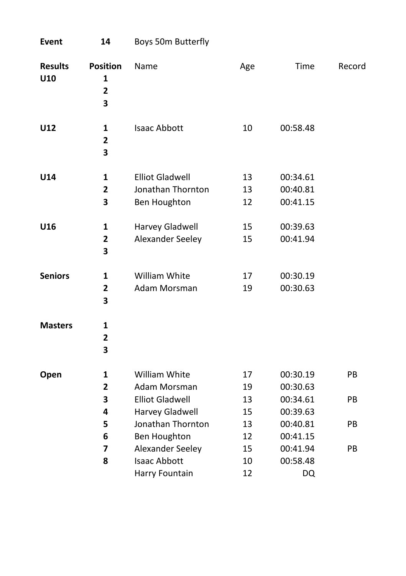| <b>Event</b>          | 14                                                   | Boys 50m Butterfly                                          |                |                                  |           |
|-----------------------|------------------------------------------------------|-------------------------------------------------------------|----------------|----------------------------------|-----------|
| <b>Results</b><br>U10 | <b>Position</b><br>1<br>$\overline{\mathbf{2}}$<br>3 | Name                                                        | Age            | Time                             | Record    |
| U12                   | $\mathbf{1}$<br>$\overline{\mathbf{2}}$<br>3         | <b>Isaac Abbott</b>                                         | 10             | 00:58.48                         |           |
| U14                   | $\mathbf{1}$<br>$\overline{2}$<br>3                  | <b>Elliot Gladwell</b><br>Jonathan Thornton<br>Ben Houghton | 13<br>13<br>12 | 00:34.61<br>00:40.81<br>00:41.15 |           |
| U16                   | $\mathbf{1}$<br>$\overline{\mathbf{2}}$<br>3         | Harvey Gladwell<br>Alexander Seeley                         | 15<br>15       | 00:39.63<br>00:41.94             |           |
| <b>Seniors</b>        | $\mathbf{1}$<br>$\overline{\mathbf{2}}$<br>3         | William White<br>Adam Morsman                               | 17<br>19       | 00:30.19<br>00:30.63             |           |
| <b>Masters</b>        | $\mathbf{1}$<br>$\overline{\mathbf{2}}$<br>3         |                                                             |                |                                  |           |
| Open                  | $\mathbf{1}$<br>2                                    | <b>William White</b><br>Adam Morsman                        | 17<br>19       | 00:30.19<br>00:30.63             | PB        |
|                       | 3<br>4                                               | <b>Elliot Gladwell</b><br>Harvey Gladwell                   | 13<br>15       | 00:34.61<br>00:39.63             | PB        |
|                       | 5<br>6                                               | Jonathan Thornton<br>Ben Houghton                           | 13<br>12       | 00:40.81<br>00:41.15             | <b>PB</b> |
|                       | 7<br>8                                               | Alexander Seeley<br><b>Isaac Abbott</b><br>Harry Fountain   | 15<br>10<br>12 | 00:41.94<br>00:58.48<br>DQ       | PB        |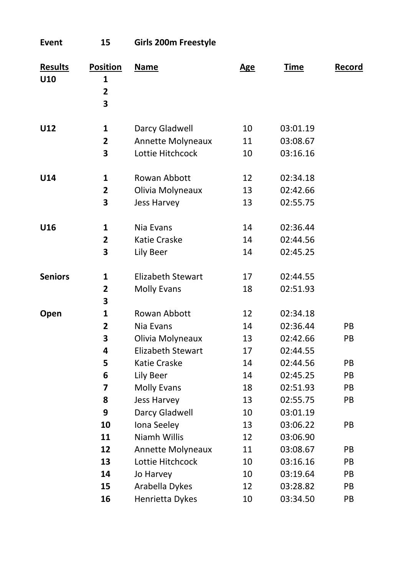| Event                 | 15                                                   | Girls 200m Freestyle                                               |                      |                                              |                      |
|-----------------------|------------------------------------------------------|--------------------------------------------------------------------|----------------------|----------------------------------------------|----------------------|
| <b>Results</b><br>U10 | <b>Position</b><br>1<br>$\overline{\mathbf{c}}$<br>3 | Name                                                               | Age                  | Time                                         | Record               |
| U12                   | $\mathbf{1}$<br>$\overline{2}$<br>3                  | Darcy Gladwell<br>Annette Molyneaux<br>Lottie Hitchcock            | 10<br>11<br>10       | 03:01.19<br>03:08.67<br>03:16.16             |                      |
| U14                   | 1<br>2<br>3                                          | Rowan Abbott<br>Olivia Molyneaux<br>Jess Harvey                    | 12<br>13<br>13       | 02:34.18<br>02:42.66<br>02:55.75             |                      |
| U16                   | 1<br>$\overline{2}$<br>3                             | Nia Evans<br>Katie Craske<br>Lily Beer                             | 14<br>14<br>14       | 02:36.44<br>02:44.56<br>02:45.25             |                      |
| <b>Seniors</b>        | $\mathbf{1}$<br>$\overline{\mathbf{c}}$<br>3         | <b>Elizabeth Stewart</b><br><b>Molly Evans</b>                     | 17<br>18             | 02:44.55<br>02:51.93                         |                      |
| Open                  | 1<br>2<br>3<br>4                                     | Rowan Abbott<br>Nia Evans<br>Olivia Molyneaux<br>Elizabeth Stewart | 12<br>14<br>13<br>17 | 02:34.18<br>02:36.44<br>02:42.66<br>02:44.55 | PB<br>PB             |
|                       | 5<br>6<br>7<br>8                                     | Katie Craske<br>Lily Beer<br><b>Molly Evans</b><br>Jess Harvey     | 14<br>14<br>18<br>13 | 02:44.56<br>02:45.25<br>02:51.93<br>02:55.75 | PB<br>PB<br>PB<br>PB |
|                       | 9<br>10<br>11<br>12                                  | Darcy Gladwell<br>Iona Seeley<br>Niamh Willis<br>Annette Molyneaux | 10<br>13<br>12<br>11 | 03:01.19<br>03:06.22<br>03:06.90<br>03:08.67 | PB<br>PB             |
|                       | 13<br>14<br>15<br>16                                 | Lottie Hitchcock<br>Jo Harvey<br>Arabella Dykes<br>Henrietta Dykes | 10<br>10<br>12<br>10 | 03:16.16<br>03:19.64<br>03:28.82<br>03:34.50 | PB<br>PB<br>PB<br>PB |
|                       |                                                      |                                                                    |                      |                                              |                      |